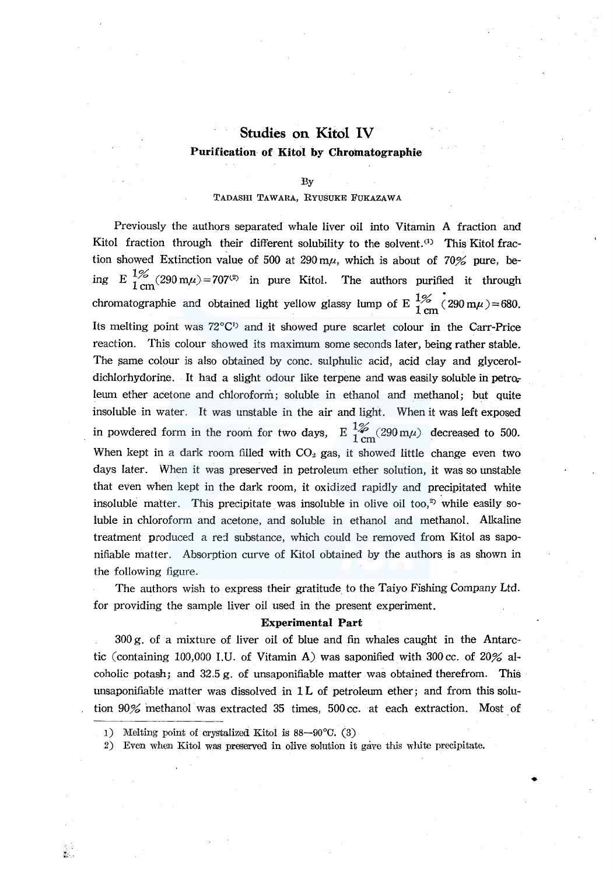# **Studies on Kitol IV**  Purification of Kitol by Chromatographie

#### By

## TADASHI TAWARA, RYUSUKE FUKAZAWA

Previously the authors separated whale liver oil into Vitamin A fraction and Kitol fraction through their different solubility to the solvent.<sup>(1)</sup> This Kitol fraction showed Extinction value of 500 at 290 m $\mu$ , which is about of 70% pure, being E  $\frac{1}{6}$  (290 m $\mu$ ) = 707<sup>(2)</sup> in pure Kitol. The authors purified it through chromatographie and obtained light yellow glassy lump of E  $\frac{1\%}{1 \text{ cm}}$  (290 m $\mu$ )=680. Its melting point was 72°C<sup>1</sup> and it showed pure scarlet colour in the Carr-Price reaction. This colour showed its maximum some seconds later, being rather stable. The same colour is also obtained by cone. sulphulic acid, acid clay and glyceroldichlorhydorine. It had a slight odour like terpene and was easily soluble in petroleum ether acetone and chloroform; soluble in ethanol and methanol; but quite insoluble in water. It was unstable in the air and light. When it was left exposed in powdered form in the room for two days,  $E \frac{1\%}{1 \text{ cm}} (290 \text{ m}\mu)$  decreased to 500. When kept in a dark room filled with  $CO<sub>2</sub>$  gas, it showed little change even two days later. When it was preserved in petroleum ether solution, it was so unstable that even when kept in the dark room, it oxidized rapidly and precipitated white insoluble matter. This precipitate was insoluble in olive oil too,<sup>2</sup> while easily soluble in chloroform and acetone, and soluble in ethanol and methanol. Alkaline treatment produced a red substance, which could be removed from Kitol as saponifiable matter. Absorption curve of Kitol obtained by the authors is as shown in the following figure.

The authors wish to express their gratitude to the Taiyo Fishing Company Ltd. for providing the sample liver oil used in the present experiment.

### **Experimental Part**

300 g. of a mixture of liver oil of blue and fin whales caught in the Antarctic (containing 100,000 I.U. of Vitamin A) was saponified with 300 cc. of 20% alcoholic potash; and 32.5 g. of unsaponifiable matter was obtained therefrom. This unsaponifiable matter was dissolved in  $1<sub>L</sub>$  of petroleum ether; and from this solution 90% methanol was extracted 35 times, 500 cc. at each extraction. Most of

•

i.

<sup>1)</sup> Melting point of crystalized Kitol is 88-90°0. (3)

<sup>2)</sup> Even when Kitol was preserved in olive solution it gave this white precipitate.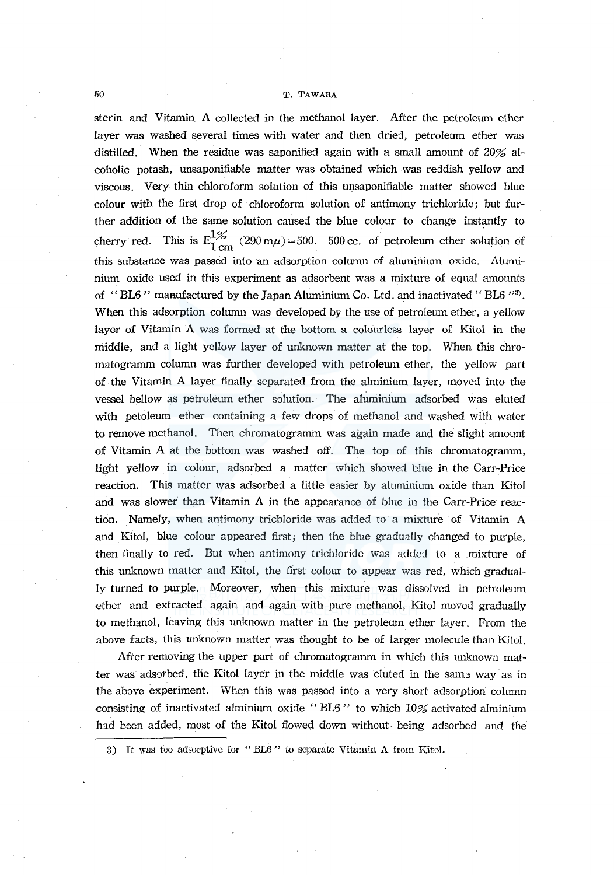#### *50* T. TAWARA

sterin and Vitamin A collected in the methanol layer. After the petroleum ether layer was washed several times with water and then dried, petroleum ether was distilled. When the residue was saponified again with a small amount of 20% alcoholic potash, unsaponifiable matter was obtained which was reddish yellow and viscous. Very thin chloroform solution of this unsaponifiable matter showed blue colour with the first drop of chloroform solution of antimony trichloride; but further addition of the same solution caused the blue colour to change instantly to cherry red. This is  $E_{1 \text{ cm}}^{1\%}$  (290 m $\mu$ ) = 500. 500 cc. of petroleum ether solution of this substance was passed into an adsorption column of aluminium oxide. Aluminium oxide used in this experiment as adsorbent was a mixture of equal amounts of "BL6" manufactured by the Japan Aluminium Co. Ltd. and inactivated "BL6" $\rm{^{3}}$ . When this adsorption column was developed by the use of petroleum ether, a yellow layer of Vitamin A was formed at the bottom a colourless layer of Kitol in the middle, and a light yellow layer of unknown matter at the top. When this chromatogramm column was further developed with petroleum ether, the yellow part of the Vitamin A layer finally separated from the alminium layer, moved into the vessel bellow as petroleum ether solution. The aluminium adsorbed was eluted with petoleum ether containing a few drops of methanol and washed with water to remove methanol. Then chromatogramm was again made and the slight amount of Vitamin A at the bottom was washed off. The top of this chromatogramm, light yellow in colour, adsorbed a matter which showed blue in the Carr-Price reaction. This matter was adsorbed a little easier by aluminium oxide than Kitol and was slower than Vitamin A in the appearance of blue in the Carr-Price reaction. Namely, when antimony trichloride was added to a mixture of Vitamin A and Kifol, blue colour appeared first; then the blue gradually changed to purple, then finally to red. But when antimony trichloride was added to a mixture of this unknown matter and Kitol, the first colour to appear was red, which gradually turned to purple. Moreover, when this mixture was dissolved in petroleum ether and extracted again and again with pure methanol, Kitol moved gradually to methanol, leaving this unknown matter in the petroleum ether layer. From the above facts, this unknown matter was thought to be of larger molecule than Kitol.

After removing the upper part of chromatogramm in which this unknown matter was adsorbed, the Kitol layer in the middle was eluted in the same way as in the above experiment. When this was passed into a very short adsorption column consisting of inactivated alminium oxide " BL5 " to which 10% activated alminium had been added, most of the Kitol flowed down without. being adsorbed and the

3) It was too adsorptive for "BL6" to separate Vitamin A from Kitol.